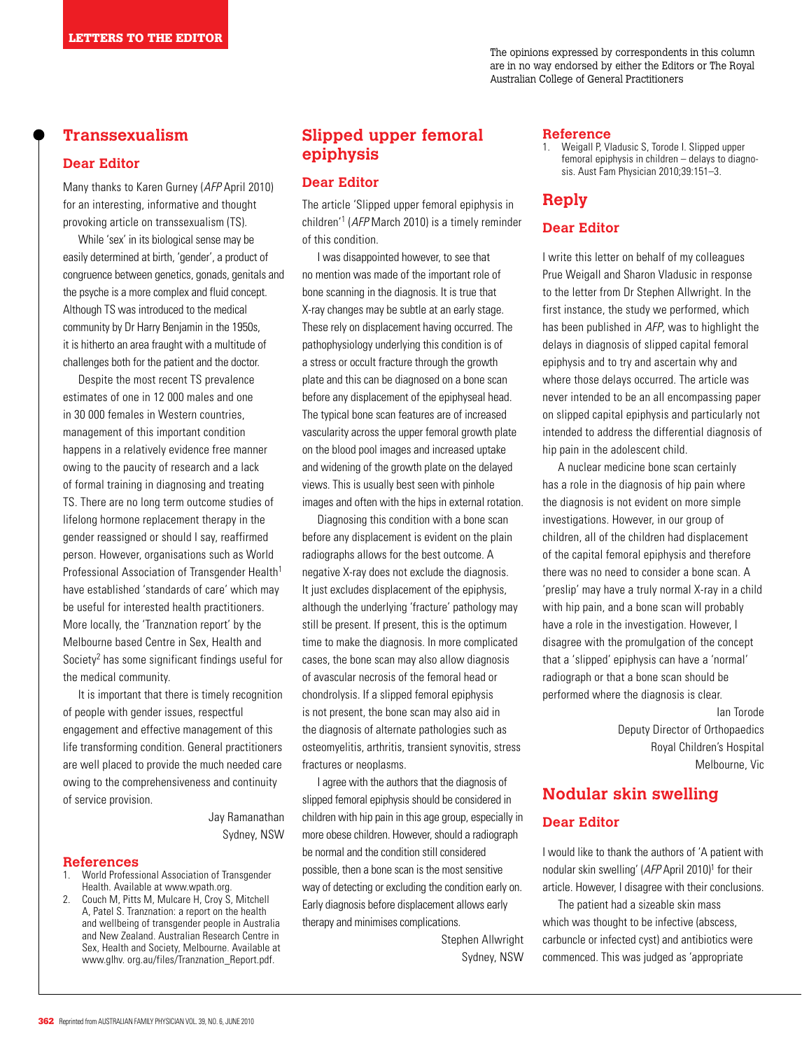## **Transsexualism**

### **Dear Editor**

Many thanks to Karen Gurney (AFP April 2010) for an interesting, informative and thought provoking article on transsexualism (TS).

While 'sex' in its biological sense may be easily determined at birth, 'gender', a product of congruence between genetics, gonads, genitals and the psyche is a more complex and fluid concept. Although TS was introduced to the medical community by Dr Harry Benjamin in the 1950s, it is hitherto an area fraught with a multitude of challenges both for the patient and the doctor.

Despite the most recent TS prevalence estimates of one in 12 000 males and one in 30 000 females in Western countries, management of this important condition happens in a relatively evidence free manner owing to the paucity of research and a lack of formal training in diagnosing and treating TS. There are no long term outcome studies of lifelong hormone replacement therapy in the gender reassigned or should I say, reaffirmed person. However, organisations such as World Professional Association of Transgender Health<sup>1</sup> have established 'standards of care' which may be useful for interested health practitioners. More locally, the 'Tranznation report' by the Melbourne based Centre in Sex, Health and Society<sup>2</sup> has some significant findings useful for the medical community.

 It is important that there is timely recognition of people with gender issues, respectful engagement and effective management of this life transforming condition. General practitioners are well placed to provide the much needed care owing to the comprehensiveness and continuity of service provision.

> Jay Ramanathan Sydney, NSW

#### **References**

- 1. World Professional Association of Transgender Health. Available at www.wpath.org.
- 2. Couch M, Pitts M, Mulcare H, Croy S, Mitchell A, Patel S. Tranznation: a report on the health and wellbeing of transgender people in Australia and New Zealand. Australian Research Centre in Sex, Health and Society, Melbourne. Available at www.glhv. org.au/files/Tranznation\_Report.pdf.

# **Slipped upper femoral epiphysis**

### **Dear Editor**

The article 'Slipped upper femoral epiphysis in children'1 (AFP March 2010) is a timely reminder of this condition.

 I was disappointed however, to see that no mention was made of the important role of bone scanning in the diagnosis. It is true that X-ray changes may be subtle at an early stage. These rely on displacement having occurred. The pathophysiology underlying this condition is of a stress or occult fracture through the growth plate and this can be diagnosed on a bone scan before any displacement of the epiphyseal head. The typical bone scan features are of increased vascularity across the upper femoral growth plate on the blood pool images and increased uptake and widening of the growth plate on the delayed views. This is usually best seen with pinhole images and often with the hips in external rotation.

Diagnosing this condition with a bone scan before any displacement is evident on the plain radiographs allows for the best outcome. A negative X-ray does not exclude the diagnosis. It just excludes displacement of the epiphysis, although the underlying 'fracture' pathology may still be present. If present, this is the optimum time to make the diagnosis. In more complicated cases, the bone scan may also allow diagnosis of avascular necrosis of the femoral head or chondrolysis. If a slipped femoral epiphysis is not present, the bone scan may also aid in the diagnosis of alternate pathologies such as osteomyelitis, arthritis, transient synovitis, stress fractures or neoplasms.

 I agree with the authors that the diagnosis of slipped femoral epiphysis should be considered in children with hip pain in this age group, especially in more obese children. However, should a radiograph be normal and the condition still considered possible, then a bone scan is the most sensitive way of detecting or excluding the condition early on. Early diagnosis before displacement allows early therapy and minimises complications.

> Stephen Allwright Sydney, NSW

#### **Reference**

1. Weigall P, Vladusic S, Torode I. Slipped upper femoral epiphysis in children – delays to diagnosis. Aust Fam Physician 2010;39:151–3.

## **Reply**

## **Dear Editor**

I write this letter on behalf of my colleagues Prue Weigall and Sharon Vladusic in response to the letter from Dr Stephen Allwright. In the first instance, the study we performed, which has been published in AFP, was to highlight the delays in diagnosis of slipped capital femoral epiphysis and to try and ascertain why and where those delays occurred. The article was never intended to be an all encompassing paper on slipped capital epiphysis and particularly not intended to address the differential diagnosis of hip pain in the adolescent child.

A nuclear medicine bone scan certainly has a role in the diagnosis of hip pain where the diagnosis is not evident on more simple investigations. However, in our group of children, all of the children had displacement of the capital femoral epiphysis and therefore there was no need to consider a bone scan. A 'preslip' may have a truly normal X-ray in a child with hip pain, and a bone scan will probably have a role in the investigation. However, I disagree with the promulgation of the concept that a 'slipped' epiphysis can have a 'normal' radiograph or that a bone scan should be performed where the diagnosis is clear.

> Ian Torode Deputy Director of Orthopaedics Royal Children's Hospital Melbourne, Vic

# **Nodular skin swelling Dear Editor**

I would like to thank the authors of 'A patient with nodular skin swelling' (AFP April 2010)<sup>1</sup> for their article. However, I disagree with their conclusions.

 The patient had a sizeable skin mass which was thought to be infective (abscess, carbuncle or infected cyst) and antibiotics were commenced. This was judged as 'appropriate